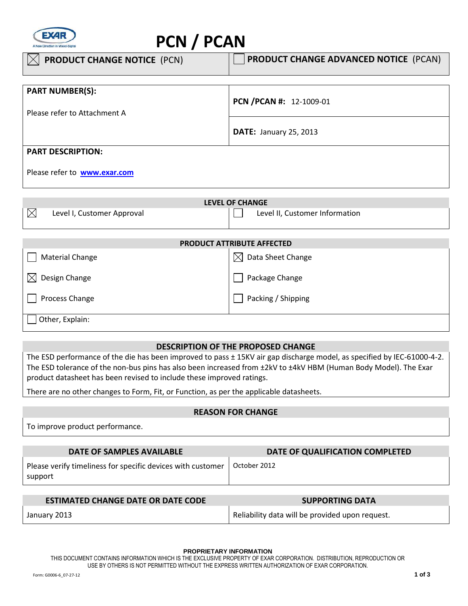

# **PCN / PCAN**

| <b>PRODUCT CHANGE NOTICE (PCN)</b>  | <b>PRODUCT CHANGE ADVANCED NOTICE (PCAN)</b> |
|-------------------------------------|----------------------------------------------|
|                                     |                                              |
| <b>PART NUMBER(S):</b>              |                                              |
|                                     | PCN /PCAN #: 12-1009-01                      |
| Please refer to Attachment A        |                                              |
|                                     |                                              |
|                                     | <b>DATE: January 25, 2013</b>                |
| <b>PART DESCRIPTION:</b>            |                                              |
|                                     |                                              |
| Please refer to <b>www.exar.com</b> |                                              |

| LEVEL OF CHANGE |                            |  |                                |
|-----------------|----------------------------|--|--------------------------------|
| $\boxtimes$     | Level I, Customer Approval |  | Level II, Customer Information |

| <b>PRODUCT ATTRIBUTE AFFECTED</b> |                         |  |
|-----------------------------------|-------------------------|--|
| <b>Material Change</b>            | Data Sheet Change<br>IХ |  |
| Design Change<br>ΙX               | Package Change          |  |
| Process Change                    | Packing / Shipping      |  |
| Other, Explain:                   |                         |  |

## **DESCRIPTION OF THE PROPOSED CHANGE**

The ESD performance of the die has been improved to pass ± 15KV air gap discharge model, as specified by IEC-61000-4-2. The ESD tolerance of the non-bus pins has also been increased from ±2kV to ±4kV HBM (Human Body Model). The Exar product datasheet has been revised to include these improved ratings.

There are no other changes to Form, Fit, or Function, as per the applicable datasheets.

### **REASON FOR CHANGE**

To improve product performance.

| DATE OF SAMPLES AVAILABLE                                              | DATE OF QUALIFICATION COMPLETED |
|------------------------------------------------------------------------|---------------------------------|
| Please verify timeliness for specific devices with customer<br>support | October 2012                    |
|                                                                        |                                 |

| <b>ESTIMATED CHANGE DATE OR DATE CODE</b> | <b>SUPPORTING DATA</b>                          |
|-------------------------------------------|-------------------------------------------------|
| January 2013                              | Reliability data will be provided upon request. |

#### **PROPRIETARY INFORMATION**

THIS DOCUMENT CONTAINS INFORMATION WHICH IS THE EXCLUSIVE PROPERTY OF EXAR CORPORATION. DISTRIBUTION, REPRODUCTION OR USE BY OTHERS IS NOT PERMITTED WITHOUT THE EXPRESS WRITTEN AUTHORIZATION OF EXAR CORPORATION.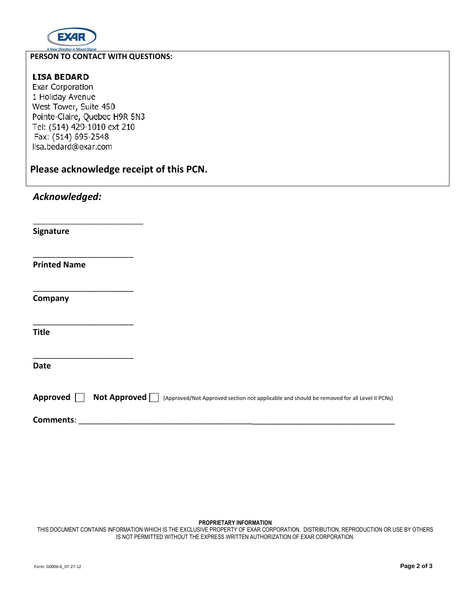

#### $\overline{a}$ **PERSON TO CONTACT WITH QUESTIONS:**

## **LISA BEDARD**

Exar Corporation 1 Holiday Avenue West Tower, Suite 450 Pointe-Claire, Quebec H9R 5N3 Tel: (514) 429-1010 ext 210 Fax: (514) 695-2548 lisa.bedard@exar.com

\_\_\_\_\_\_\_\_\_\_\_\_\_\_\_\_\_\_\_\_\_\_\_\_\_\_\_\_\_

\_\_\_\_\_\_\_\_\_\_\_\_\_\_\_\_\_\_\_\_\_\_

\_\_\_\_\_\_\_\_\_\_\_\_\_\_\_\_\_\_\_\_\_\_

\_\_\_\_\_\_\_\_\_\_\_\_\_\_\_\_\_\_\_\_\_\_

\_\_\_\_\_\_\_\_\_\_\_\_\_\_\_\_\_\_\_\_\_\_

**Please acknowledge receipt of this PCN.** 

# *Acknowledged:*

**Signature** 

**Printed Name** 

**Company** 

**Title** 

**Date** 

| Approved $\Box$ Not Approved $\Box$ (Approved/Not Approved section not applicable and should be removed for all Level II PCNs) |
|--------------------------------------------------------------------------------------------------------------------------------|
|--------------------------------------------------------------------------------------------------------------------------------|

Comments:

#### **PROPRIETARY INFORMATION**

THIS DOCUMENT CONTAINS INFORMATION WHICH IS THE EXCLUSIVE PROPERTY OF EXAR CORPORATION. DISTRIBUTION, REPRODUCTION OR USE BY OTHERS IS NOT PERMITTED WITHOUT THE EXPRESS WRITTEN AUTHORIZATION OF EXAR CORPORATION.